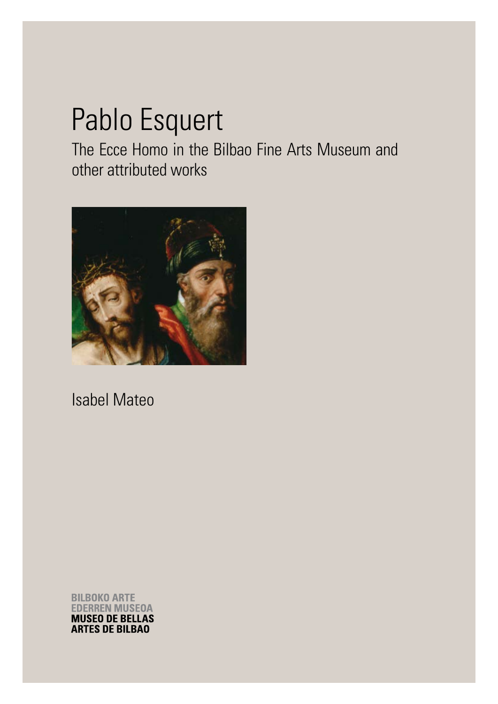## Pablo Esquert

The Ecce Homo in the Bilbao Fine Arts Museum and other attributed works



Isabel Mateo

**BILBOKO ARTE EDERREN MUSEOA MUSEO DE BELLAS ARTES DE BILBAO**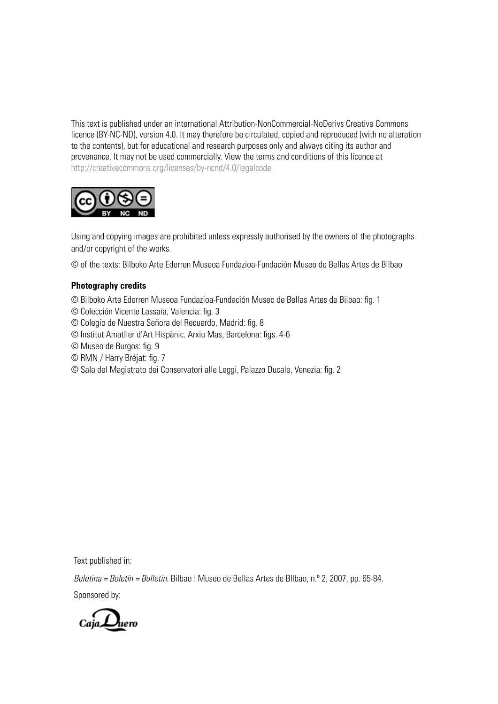This text is published under an international Attribution-NonCommercial-NoDerivs Creative Commons licence (BY-NC-ND), version 4.0. It may therefore be circulated, copied and reproduced (with no alteration to the contents), but for educational and research purposes only and always citing its author and provenance. It may not be used commercially. View the terms and conditions of this licence at http://creativecommons.org/licenses/by-ncnd/4.0/legalcode



Using and copying images are prohibited unless expressly authorised by the owners of the photographs and/or copyright of the works.

© of the texts: Bilboko Arte Ederren Museoa Fundazioa-Fundación Museo de Bellas Artes de Bilbao

## **Photography credits**

© Bilboko Arte Ederren Museoa Fundazioa-Fundación Museo de Bellas Artes de Bilbao: fig. 1

- © Colección Vicente Lassaia, Valencia: fig. 3
- © Colegio de Nuestra Señora del Recuerdo, Madrid: fig. 8
- © Institut Amatller d'Art Hispànic. Arxiu Mas, Barcelona: figs. 4-6
- © Museo de Burgos: fig. 9
- © RMN / Harry Bréjat: fig. 7
- © Sala del Magistrato dei Conservatori alle Leggi, Palazzo Ducale, Venezia: fig. 2

Text published in:

*Buletina = Boletín = Bulletin.* Bilbao : Museo de Bellas Artes de BIlbao, n.º 2, 2007, pp. 65-84.

Sponsored by:

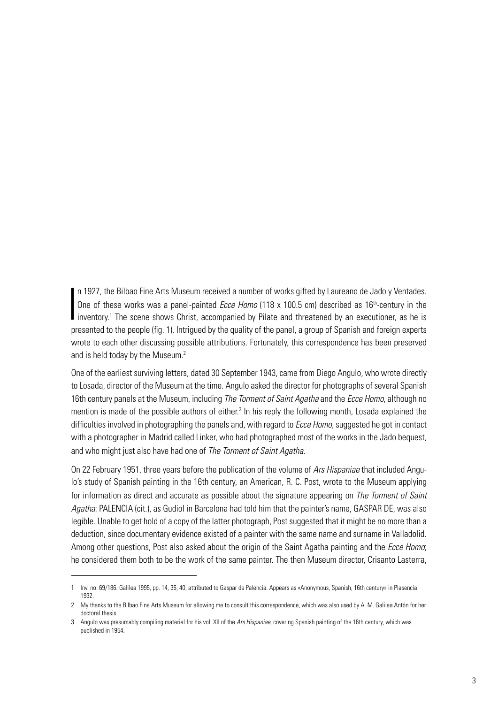n 1927, the Bilbao Fine Arts Museum received a number of works gifted by Laureano de Jado y Ventades.<br>One of these works was a panel-painted *Ecce Homo* (118 x 100.5 cm) described as 16<sup>th</sup>-century in the inventory.<sup>1</sup> Th n 1927, the Bilbao Fine Arts Museum received a number of works gifted by Laureano de Jado y Ventades. One of these works was a panel-painted *Ecce Homo* (118 x 100.5 cm) described as 16<sup>th</sup>-century in the presented to the people (fig. 1). Intrigued by the quality of the panel, a group of Spanish and foreign experts wrote to each other discussing possible attributions. Fortunately, this correspondence has been preserved and is held today by the Museum.<sup>2</sup>

One of the earliest surviving letters, dated 30 September 1943, came from Diego Angulo, who wrote directly to Losada, director of the Museum at the time. Angulo asked the director for photographs of several Spanish 16th century panels at the Museum, including *The Torment of Saint Agatha* and the *Ecce Homo*, although no mention is made of the possible authors of either.<sup>3</sup> In his reply the following month, Losada explained the difficulties involved in photographing the panels and, with regard to *Ecce Homo*, suggested he got in contact with a photographer in Madrid called Linker, who had photographed most of the works in the Jado bequest, and who might just also have had one of *The Torment of Saint Agatha*.

On 22 February 1951, three years before the publication of the volume of *Ars Hispaniae* that included Angulo's study of Spanish painting in the 16th century, an American, R. C. Post, wrote to the Museum applying for information as direct and accurate as possible about the signature appearing on *The Torment of Saint Agatha*: PALENCIA (cit.), as Gudiol in Barcelona had told him that the painter's name, GASPAR DE, was also legible. Unable to get hold of a copy of the latter photograph, Post suggested that it might be no more than a deduction, since documentary evidence existed of a painter with the same name and surname in Valladolid. Among other questions, Post also asked about the origin of the Saint Agatha painting and the *Ecce Homo*; he considered them both to be the work of the same painter. The then Museum director, Crisanto Lasterra,

<sup>1</sup> Inv. no. 69/186. Galilea 1995, pp. 14, 35, 40, attributed to Gaspar de Palencia. Appears as «Anonymous, Spanish, 16th century» in Plasencia 1932.

<sup>2</sup> My thanks to the Bilbao Fine Arts Museum for allowing me to consult this correspondence, which was also used by A. M. Galilea Antón for her doctoral thesis.

<sup>3</sup> Angulo was presumably compiling material for his vol. XII of the *Ars Hispaniae*, covering Spanish painting of the 16th century, which was published in 1954.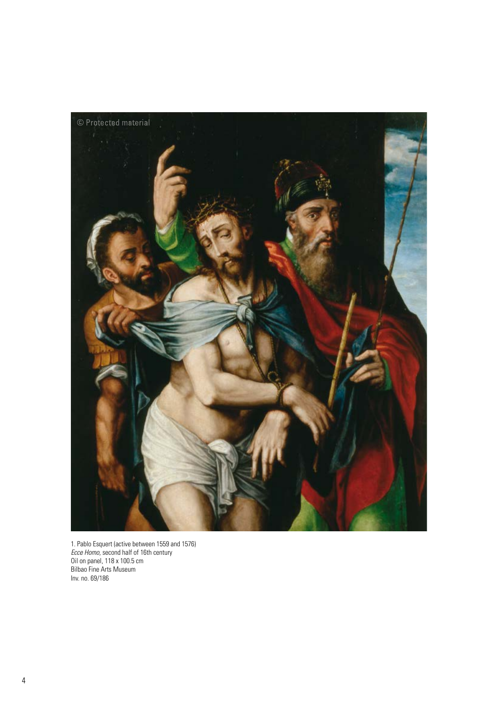

1. Pablo Esquert (active between 1559 and 1576) *Ecce Homo*, second half of 16th century Oil on panel, 118 x 100.5 cm Bilbao Fine Arts Museum Inv. no. 69/186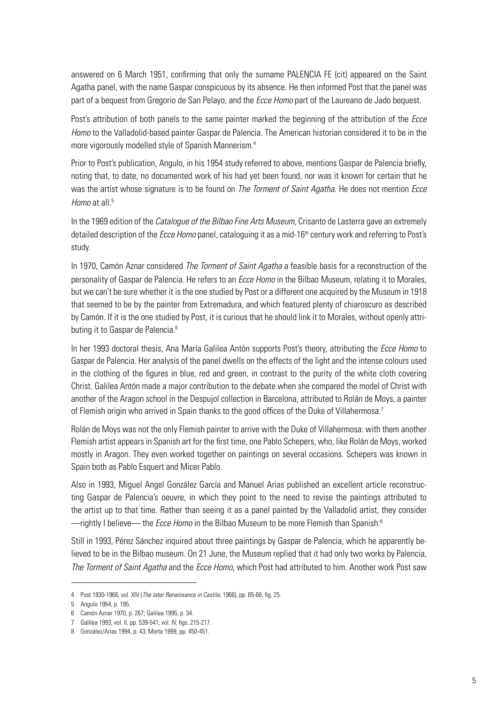answered on 6 March 1951, confirming that only the surname PALENCIA FE (cit) appeared on the Saint Agatha panel, with the name Gaspar conspicuous by its absence. He then informed Post that the panel was part of a bequest from Gregorio de San Pelayo, and the *Ecce Homo* part of the Laureano de Jado bequest.

Post's attribution of both panels to the same painter marked the beginning of the attribution of the *Ecce Homo* to the Valladolid-based painter Gaspar de Palencia. The American historian considered it to be in the more vigorously modelled style of Spanish Mannerism.4

Prior to Post's publication, Angulo, in his 1954 study referred to above, mentions Gaspar de Palencia briefly, noting that, to date, no documented work of his had yet been found, nor was it known for certain that he was the artist whose signature is to be found on *The Torment of Saint Agatha*. He does not mention *Ecce Homo* at all<sup>5</sup>

In the 1969 edition of the *Catalogue of the Bilbao Fine Arts Museum*, Crisanto de Lasterra gave an extremely detailed description of the *Ecce Homo* panel, cataloguing it as a mid-16th century work and referring to Post's study.

In 1970, Camón Aznar considered *The Torment of Saint Agatha* a feasible basis for a reconstruction of the personality of Gaspar de Palencia. He refers to an *Ecce Homo* in the Bilbao Museum, relating it to Morales, but we can't be sure whether it is the one studied by Post or a different one acquired by the Museum in 1918 that seemed to be by the painter from Extremadura, and which featured plenty of chiaroscuro as described by Camón. If it is the one studied by Post, it is curious that he should link it to Morales, without openly attributing it to Gaspar de Palencia.<sup>6</sup>

In her 1993 doctoral thesis, Ana María Galilea Antón supports Post's theory, attributing the *Ecce Homo* to Gaspar de Palencia. Her analysis of the panel dwells on the effects of the light and the intense colours used in the clothing of the figures in blue, red and green, in contrast to the purity of the white cloth covering Christ. Galilea Antón made a major contribution to the debate when she compared the model of Christ with another of the Aragon school in the Despujol collection in Barcelona, attributed to Rolán de Moys, a painter of Flemish origin who arrived in Spain thanks to the good offices of the Duke of Villahermosa.<sup>7</sup>

Rolán de Moys was not the only Flemish painter to arrive with the Duke of Villahermosa: with them another Flemish artist appears in Spanish art for the first time, one Pablo Schepers, who, like Rolán de Moys, worked mostly in Aragon. They even worked together on paintings on several occasions. Schepers was known in Spain both as Pablo Esquert and Micer Pablo.

Also in 1993, Miguel Angel González García and Manuel Arias published an excellent article reconstructing Gaspar de Palencia's oeuvre, in which they point to the need to revise the paintings attributed to the artist up to that time. Rather than seeing it as a panel painted by the Valladolid artist, they consider —rightly I believe— the *Ecce Homo* in the Bilbao Museum to be more Flemish than Spanish.8

Still in 1993, Pérez Sánchez inquired about three paintings by Gaspar de Palencia, which he apparently believed to be in the Bilbao museum. On 21 June, the Museum replied that it had only two works by Palencia, *The Torment of Saint Agatha* and the *Ecce Homo*, which Post had attributed to him. Another work Post saw

<sup>4</sup> Post 1930-1966, vol. XIV (*The later Renaissance in Castile,* 1966), pp. 65-66, fig. 25.

<sup>5</sup> Angulo 1954, p. 195.

<sup>6</sup> Camón Aznar 1970, p. 267; Galilea 1995, p. 34.

<sup>7</sup> Galilea 1993, vol. II, pp. 539-541; vol. IV, figs. 215-217.

<sup>8</sup> González/Arias 1994, p. 43; Morte 1999, pp. 450-451.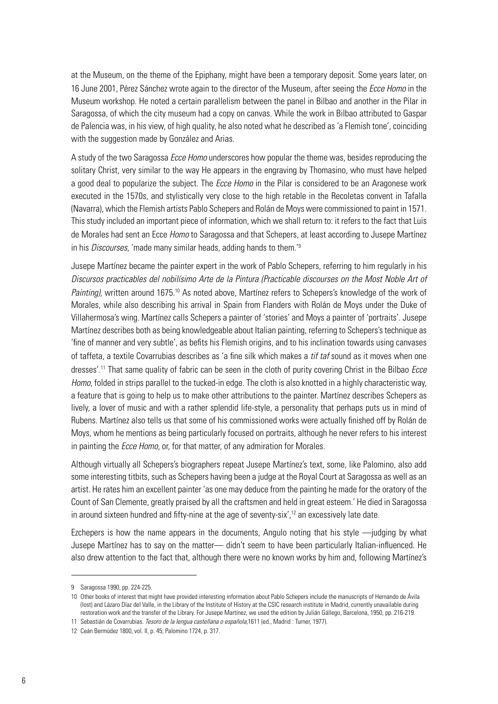at the Museum, on the theme of the Epiphany, might have been a temporary deposit. Some years later, on 16 June 2001, Pérez Sánchez wrote again to the director of the Museum, after seeing the *Ecce Homo* in the Museum workshop. He noted a certain parallelism between the panel in Bilbao and another in the Pilar in Saragossa, of which the city museum had a copy on canvas. While the work in Bilbao attributed to Gaspar de Palencia was, in his view, of high quality, he also noted what he described as 'a Flemish tone', coinciding with the suggestion made by González and Arias.

A study of the two Saragossa *Ecce Homo* underscores how popular the theme was, besides reproducing the solitary Christ, very similar to the way He appears in the engraving by Thomasino, who must have helped a good deal to popularize the subject. The *Ecce Homo* in the Pilar is considered to be an Aragonese work executed in the 1570s, and stylistically very close to the high retable in the Recoletas convent in Tafalla (Navarra), which the Flemish artists Pablo Schepers and Rolán de Moys were commissioned to paint in 1571. This study included an important piece of information, which we shall return to: it refers to the fact that Luis de Morales had sent an Ecce *Homo* to Saragossa and that Schepers, at least according to Jusepe Martínez in his *Discourses*, 'made many similar heads, adding hands to them.'9

Jusepe Martínez became the painter expert in the work of Pablo Schepers, referring to him regularly in his *Discursos practicables del nobilísimo Arte de la Pintura (Practicable discourses on the Most Noble Art of*  Painting), written around 1675.<sup>10</sup> As noted above, Martínez refers to Schepers's knowledge of the work of Morales, while also describing his arrival in Spain from Flanders with Rolán de Moys under the Duke of Villahermosa's wing. Martínez calls Schepers a painter of 'stories' and Moys a painter of 'portraits'. Jusepe Martínez describes both as being knowledgeable about Italian painting, referring to Schepers's technique as 'fine of manner and very subtle', as befits his Flemish origins, and to his inclination towards using canvases of taffeta, a textile Covarrubias describes as 'a fine silk which makes a *tif taf* sound as it moves when one dresses'.11 That same quality of fabric can be seen in the cloth of purity covering Christ in the Bilbao *Ecce Homo*, folded in strips parallel to the tucked-in edge. The cloth is also knotted in a highly characteristic way, a feature that is going to help us to make other attributions to the painter. Martínez describes Schepers as lively, a lover of music and with a rather splendid life-style, a personality that perhaps puts us in mind of Rubens. Martínez also tells us that some of his commissioned works were actually finished off by Rolán de Moys, whom he mentions as being particularly focused on portraits, although he never refers to his interest in painting the *Ecce Homo*, or, for that matter, of any admiration for Morales.

Although virtually all Schepers's biographers repeat Jusepe Martínez's text, some, like Palomino, also add some interesting titbits, such as Schepers having been a judge at the Royal Court at Saragossa as well as an artist. He rates him an excellent painter 'as one may deduce from the painting he made for the oratory of the Count of San Clemente, greatly praised by all the craftsmen and held in great esteem.' He died in Saragossa in around sixteen hundred and fifty-nine at the age of seventy-six', $12$  an excessively late date.

Ezchepers is how the name appears in the documents, Angulo noting that his style —judging by what Jusepe Martínez has to say on the matter— didn't seem to have been particularly Italian-influenced. He also drew attention to the fact that, although there were no known works by him and, following Martínez's

<sup>9</sup> Saragossa 1990, pp. 224-225.

<sup>10</sup> Other books of interest that might have provided interesting information about Pablo Schepers include the manuscripts of Hernando de Ávila (lost) and Lázaro Díaz del Valle, in the Library of the Institute of History at the CSIC research institute in Madrid, currently unavailable during restoration work and the transfer of the Library. For Jusepe Martínez, we used the edition by Julián Gállego, Barcelona, 1950, pp. 216-219.

<sup>11</sup> Sebastián de Covarrubias. *Tesoro de la lengua castellana o española,*1611 (ed., Madrid : Turner, 1977).

<sup>12</sup> Ceán Bermúdez 1800, vol. II, p. 45; Palomino 1724, p. 317.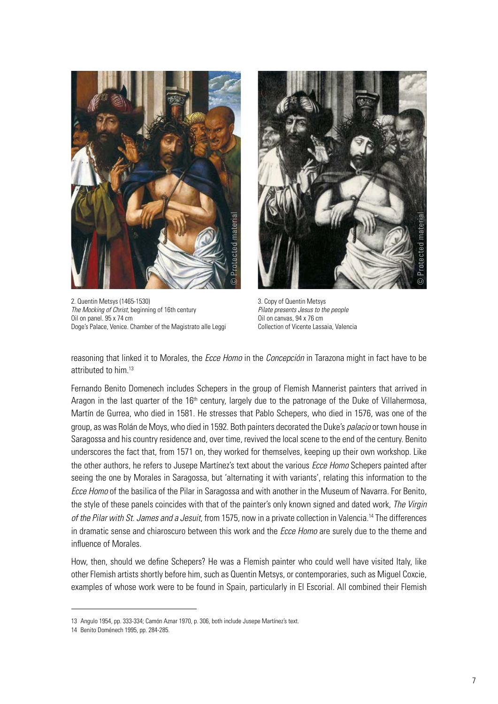

2. Quentin Metsys (1465-1530) *The Mocking of Christ*, beginning of 16th century Oil on panel. 95 x 74 cm Doge's Palace, Venice. Chamber of the Magistrato alle Leggi



3. Copy of Quentin Metsys *Pilate presents Jesus to the people* Oil on canvas, 94 x 76 cm Collection of Vicente Lassaia, Valencia

reasoning that linked it to Morales, the *Ecce Homo* in the *Concepción* in Tarazona might in fact have to be attributed to him.13

Fernando Benito Domenech includes Schepers in the group of Flemish Mannerist painters that arrived in Aragon in the last quarter of the 16<sup>th</sup> century, largely due to the patronage of the Duke of Villahermosa, Martín de Gurrea, who died in 1581. He stresses that Pablo Schepers, who died in 1576, was one of the group, as was Rolán de Moys, who died in 1592. Both painters decorated the Duke's *palacio* or town house in Saragossa and his country residence and, over time, revived the local scene to the end of the century. Benito underscores the fact that, from 1571 on, they worked for themselves, keeping up their own workshop. Like the other authors, he refers to Jusepe Martínez's text about the various *Ecce Homo* Schepers painted after seeing the one by Morales in Saragossa, but 'alternating it with variants', relating this information to the *Ecce Homo* of the basilica of the Pilar in Saragossa and with another in the Museum of Navarra. For Benito, the style of these panels coincides with that of the painter's only known signed and dated work, *The Virgin of the Pilar with St. James and a Jesuit*, from 1575, now in a private collection in Valencia.14 The differences in dramatic sense and chiaroscuro between this work and the *Ecce Homo* are surely due to the theme and influence of Morales.

How, then, should we define Schepers? He was a Flemish painter who could well have visited Italy, like other Flemish artists shortly before him, such as Quentin Metsys, or contemporaries, such as Miguel Coxcie, examples of whose work were to be found in Spain, particularly in El Escorial. All combined their Flemish

<sup>13</sup> Angulo 1954, pp. 333-334; Camón Aznar 1970, p. 306, both include Jusepe Martínez's text.

<sup>14</sup> Benito Doménech 1995, pp. 284-285.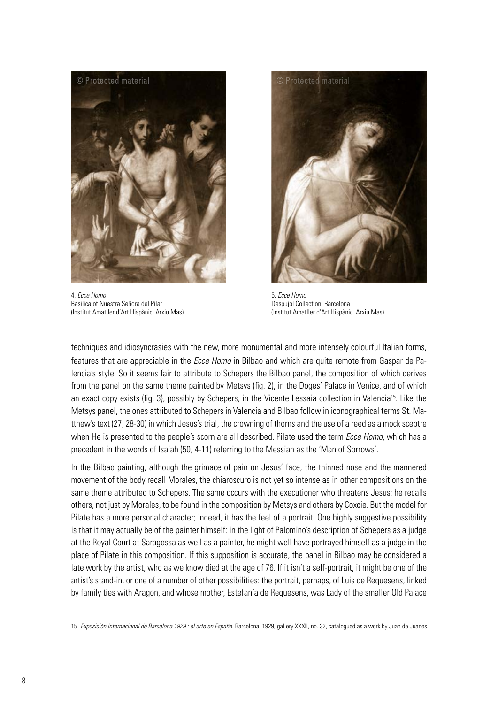

4. *Ecce Homo* Basilica of Nuestra Señora del Pilar (Institut Amatller d'Art Hispànic. Arxiu Mas)



5. *Ecce Homo* Despujol Collection, Barcelona (Institut Amatller d'Art Hispànic. Arxiu Mas)

techniques and idiosyncrasies with the new, more monumental and more intensely colourful Italian forms, features that are appreciable in the *Ecce Homo* in Bilbao and which are quite remote from Gaspar de Palencia's style. So it seems fair to attribute to Schepers the Bilbao panel, the composition of which derives from the panel on the same theme painted by Metsys (fig. 2), in the Doges' Palace in Venice, and of which an exact copy exists (fig. 3), possibly by Schepers, in the Vicente Lessaia collection in Valencia15. Like the Metsys panel, the ones attributed to Schepers in Valencia and Bilbao follow in iconographical terms St. Matthew's text (27, 28-30) in which Jesus's trial, the crowning of thorns and the use of a reed as a mock sceptre when He is presented to the people's scorn are all described. Pilate used the term *Ecce Homo*, which has a precedent in the words of Isaiah (50, 4-11) referring to the Messiah as the 'Man of Sorrows'.

In the Bilbao painting, although the grimace of pain on Jesus' face, the thinned nose and the mannered movement of the body recall Morales, the chiaroscuro is not yet so intense as in other compositions on the same theme attributed to Schepers. The same occurs with the executioner who threatens Jesus; he recalls others, not just by Morales, to be found in the composition by Metsys and others by Coxcie. But the model for Pilate has a more personal character; indeed, it has the feel of a portrait. One highly suggestive possibility is that it may actually be of the painter himself: in the light of Palomino's description of Schepers as a judge at the Royal Court at Saragossa as well as a painter, he might well have portrayed himself as a judge in the place of Pilate in this composition. If this supposition is accurate, the panel in Bilbao may be considered a late work by the artist, who as we know died at the age of 76. If it isn't a self-portrait, it might be one of the artist's stand-in, or one of a number of other possibilities: the portrait, perhaps, of Luis de Requesens, linked by family ties with Aragon, and whose mother, Estefanía de Requesens, was Lady of the smaller Old Palace

<sup>15</sup> *Exposición Internacional de Barcelona 1929 : el arte en España*. Barcelona, 1929, gallery XXXII, no. 32, catalogued as a work by Juan de Juanes.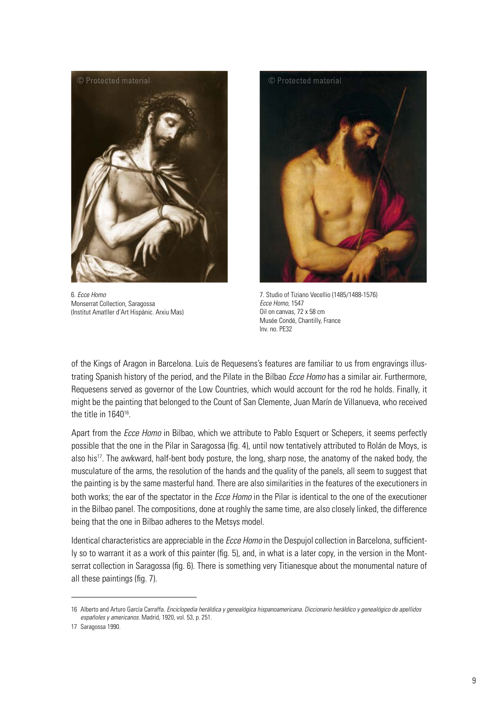

6. *Ecce Homo* Monserrat Collection, Saragossa (Institut Amatller d'Art Hispànic. Arxiu Mas)



7. Studio of Tiziano Vecellio (1485/1488-1576) *Ecce Homo*, 1547 Oil on canvas, 72 x 58 cm Musée Condé, Chantilly, France Inv. no. PE32

of the Kings of Aragon in Barcelona. Luis de Requesens's features are familiar to us from engravings illustrating Spanish history of the period, and the Pilate in the Bilbao *Ecce Homo* has a similar air. Furthermore, Requesens served as governor of the Low Countries, which would account for the rod he holds. Finally, it might be the painting that belonged to the Count of San Clemente, Juan Marín de Villanueva, who received the title in 1640<sup>16</sup>.

Apart from the *Ecce Homo* in Bilbao, which we attribute to Pablo Esquert or Schepers, it seems perfectly possible that the one in the Pilar in Saragossa (fig. 4), until now tentatively attributed to Rolán de Moys, is also his<sup>17</sup>. The awkward, half-bent body posture, the long, sharp nose, the anatomy of the naked body, the musculature of the arms, the resolution of the hands and the quality of the panels, all seem to suggest that the painting is by the same masterful hand. There are also similarities in the features of the executioners in both works; the ear of the spectator in the *Ecce Homo* in the Pilar is identical to the one of the executioner in the Bilbao panel. The compositions, done at roughly the same time, are also closely linked, the difference being that the one in Bilbao adheres to the Metsys model.

Identical characteristics are appreciable in the *Ecce Homo* in the Despujol collection in Barcelona, sufficiently so to warrant it as a work of this painter (fig. 5), and, in what is a later copy, in the version in the Montserrat collection in Saragossa (fig. 6). There is something very Titianesque about the monumental nature of all these paintings (fig. 7).

<sup>16</sup> Alberto and Arturo García Carraffa. *Enciclopedia heráldica y genealógica hispanoamericana. Diccionario heráldico y genealógico de apellidos españoles y americanos*. Madrid, 1920, vol. 53, p. 251.

<sup>17</sup> Saragossa 1990.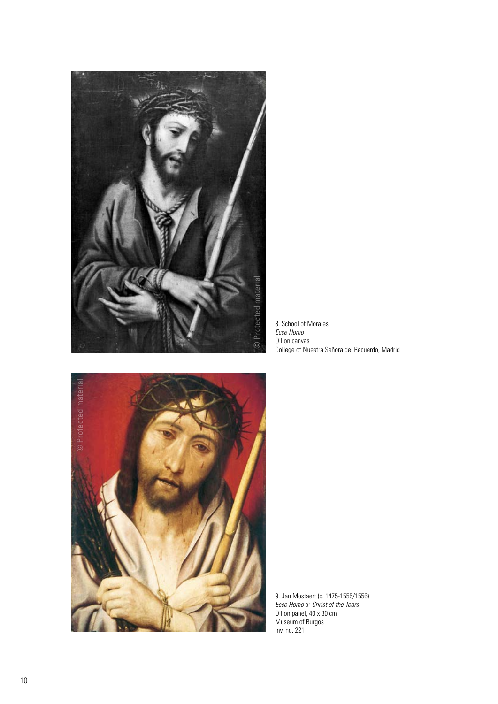

8. School of Morales *Ecce Homo* Oil on canvas College of Nuestra Señora del Recuerdo, Madrid



9. Jan Mostaert (c. 1475-1555/1556) *Ecce Homo* or *Christ of the Tears* Oil on panel, 40 x 30 cm Museum of Burgos Inv. no. 221